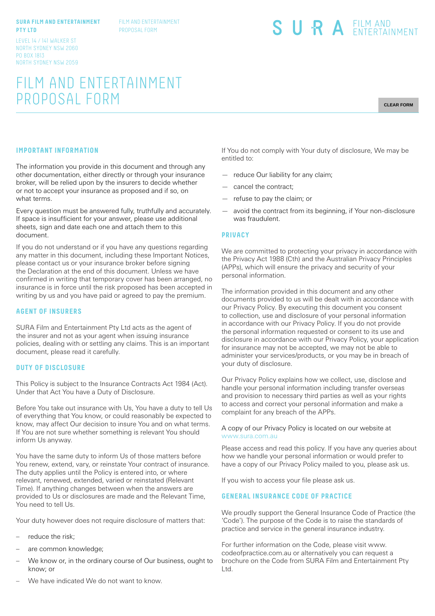#### **SURA FILM AND ENTERTAINMENT PTY LTD**

FILM AND ENTERTAINMENT PROPOSAL FORM

LEVEL 14 / 141 WALKER ST NORTH SYDNEY NSW 2060 PO BOX 1813 NORTH SYDNEY NSW 2059

# FILM AND ENTERTAINMENT PROPOSAL FORM

**CLEAR FORM**

# **IMPORTANT INFORMATION**

The information you provide in this document and through any other documentation, either directly or through your insurance broker, will be relied upon by the insurers to decide whether or not to accept your insurance as proposed and if so, on what terms.

Every question must be answered fully, truthfully and accurately. If space is insufficient for your answer, please use additional sheets, sign and date each one and attach them to this document.

If you do not understand or if you have any questions regarding any matter in this document, including these Important Notices, please contact us or your insurance broker before signing the Declaration at the end of this document. Unless we have confirmed in writing that temporary cover has been arranged, no insurance is in force until the risk proposed has been accepted in writing by us and you have paid or agreed to pay the premium.

#### **AGENT OF INSURERS**

SURA Film and Entertainment Pty Ltd acts as the agent of the insurer and not as your agent when issuing insurance policies, dealing with or settling any claims. This is an important document, please read it carefully.

#### **DUTY OF DISCLOSURE**

This Policy is subject to the Insurance Contracts Act 1984 (Act). Under that Act You have a Duty of Disclosure.

Before You take out insurance with Us, You have a duty to tell Us of everything that You know, or could reasonably be expected to know, may affect Our decision to insure You and on what terms. If You are not sure whether something is relevant You should inform Us anyway.

You have the same duty to inform Us of those matters before You renew, extend, vary, or reinstate Your contract of insurance. The duty applies until the Policy is entered into, or where relevant, renewed, extended, varied or reinstated (Relevant Time). If anything changes between when the answers are provided to Us or disclosures are made and the Relevant Time, You need to tell Us.

Your duty however does not require disclosure of matters that:

- reduce the risk;
- are common knowledge;
- We know or, in the ordinary course of Our business, ought to know; or

If You do not comply with Your duty of disclosure, We may be entitled to:

SURA EILM AND

- reduce Our liability for any claim;
- cancel the contract;
- refuse to pay the claim; or
- avoid the contract from its beginning, if Your non-disclosure was fraudulent.

#### **PRIVACY**

We are committed to protecting your privacy in accordance with the Privacy Act 1988 (Cth) and the Australian Privacy Principles (APPs), which will ensure the privacy and security of your personal information.

The information provided in this document and any other documents provided to us will be dealt with in accordance with our Privacy Policy. By executing this document you consent to collection, use and disclosure of your personal information in accordance with our Privacy Policy. If you do not provide the personal information requested or consent to its use and disclosure in accordance with our Privacy Policy, your application for insurance may not be accepted, we may not be able to administer your services/products, or you may be in breach of your duty of disclosure.

Our Privacy Policy explains how we collect, use, disclose and handle your personal information including transfer overseas and provision to necessary third parties as well as your rights to access and correct your personal information and make a complaint for any breach of the APPs.

#### A copy of our Privacy Policy is located on our website at www.sura.com.au

Please access and read this policy. If you have any queries about how we handle your personal information or would prefer to have a copy of our Privacy Policy mailed to you, please ask us.

If you wish to access your file please ask us.

### **GENERAL INSURANCE CODE OF PRACTICE**

We proudly support the General Insurance Code of Practice (the 'Code'). The purpose of the Code is to raise the standards of practice and service in the general insurance industry.

For further information on the Code, please visit www. codeofpractice.com.au or alternatively you can request a brochure on the Code from SURA Film and Entertainment Pty Ltd.

We have indicated We do not want to know.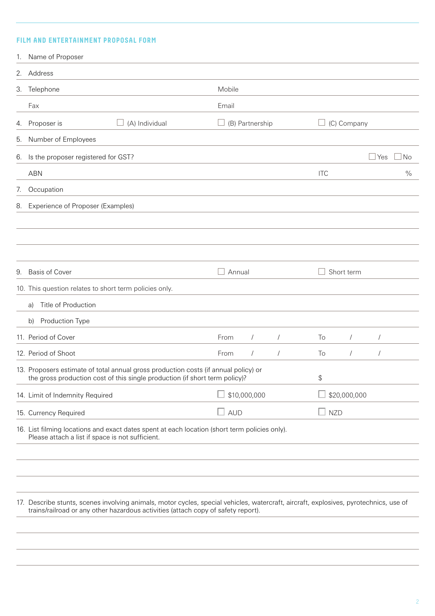# **FILM AND ENTERTAINMENT PROPOSAL FORM**

|    | 1. Name of Proposer                                                                                                                                                                                                        |                                     |               |                 |            |               |             |            |      |
|----|----------------------------------------------------------------------------------------------------------------------------------------------------------------------------------------------------------------------------|-------------------------------------|---------------|-----------------|------------|---------------|-------------|------------|------|
|    | 2. Address                                                                                                                                                                                                                 |                                     |               |                 |            |               |             |            |      |
|    | 3. Telephone                                                                                                                                                                                                               |                                     | Mobile        |                 |            |               |             |            |      |
|    | Fax                                                                                                                                                                                                                        |                                     | Email         |                 |            |               |             |            |      |
|    | 4. Proposer is                                                                                                                                                                                                             | (A) Individual                      |               | (B) Partnership |            |               | (C) Company |            |      |
|    | 5. Number of Employees                                                                                                                                                                                                     |                                     |               |                 |            |               |             |            |      |
|    | 6. Is the proposer registered for GST?                                                                                                                                                                                     |                                     |               |                 |            |               |             | ∫Yes       | No   |
|    | <b>ABN</b>                                                                                                                                                                                                                 |                                     |               |                 |            | <b>ITC</b>    |             |            | $\%$ |
| 7. | Occupation                                                                                                                                                                                                                 |                                     |               |                 |            |               |             |            |      |
| 8. | Experience of Proposer (Examples)                                                                                                                                                                                          |                                     |               |                 |            |               |             |            |      |
|    |                                                                                                                                                                                                                            |                                     |               |                 |            |               |             |            |      |
|    |                                                                                                                                                                                                                            |                                     |               |                 |            |               |             |            |      |
|    |                                                                                                                                                                                                                            |                                     |               |                 |            |               |             |            |      |
|    | 9. Basis of Cover                                                                                                                                                                                                          |                                     | Annual        |                 |            |               | Short term  |            |      |
|    | 10. This question relates to short term policies only.                                                                                                                                                                     |                                     |               |                 |            |               |             |            |      |
|    | Title of Production<br>a)                                                                                                                                                                                                  |                                     |               |                 |            |               |             |            |      |
|    | Production Type<br>b)                                                                                                                                                                                                      |                                     |               |                 |            |               |             |            |      |
|    | 11. Period of Cover                                                                                                                                                                                                        |                                     | From          | $\sqrt{ }$      | $\sqrt{2}$ | To            | $\sqrt{2}$  | $\sqrt{2}$ |      |
|    | 12. Period of Shoot                                                                                                                                                                                                        |                                     | From          | $\prime$        |            | To            | $\sqrt{2}$  |            |      |
|    | 13. Proposers estimate of total annual gross production costs (if annual policy) or<br>the gross production cost of this single production (if short term policy)?                                                         |                                     |               |                 |            | \$            |             |            |      |
|    | 14. Limit of Indemnity Required                                                                                                                                                                                            | \$10,000,000<br>$\Box$ \$20,000,000 |               |                 |            |               |             |            |      |
|    | 15. Currency Required                                                                                                                                                                                                      |                                     | $\square$ aud |                 |            | $\square$ NZD |             |            |      |
|    | 16. List filming locations and exact dates spent at each location (short term policies only).<br>Please attach a list if space is not sufficient.                                                                          |                                     |               |                 |            |               |             |            |      |
|    |                                                                                                                                                                                                                            |                                     |               |                 |            |               |             |            |      |
|    |                                                                                                                                                                                                                            |                                     |               |                 |            |               |             |            |      |
|    |                                                                                                                                                                                                                            |                                     |               |                 |            |               |             |            |      |
|    | 17. Describe stunts, scenes involving animals, motor cycles, special vehicles, watercraft, aircraft, explosives, pyrotechnics, use of<br>trains/railroad or any other hazardous activities (attach copy of safety report). |                                     |               |                 |            |               |             |            |      |
|    |                                                                                                                                                                                                                            |                                     |               |                 |            |               |             |            |      |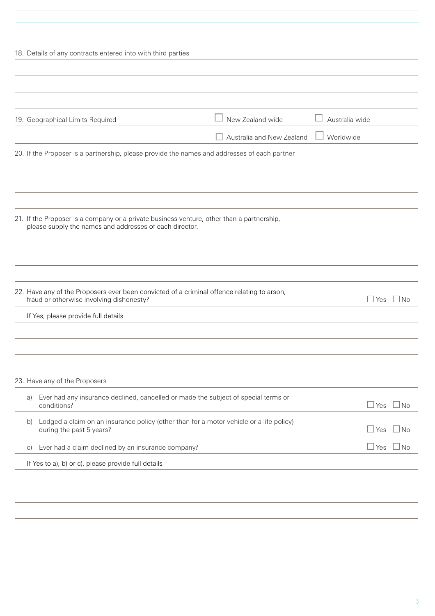| New Zealand wide<br>Australia wide<br>19. Geographical Limits Required<br>Worldwide<br>Australia and New Zealand<br>20. If the Proposer is a partnership, please provide the names and addresses of each partner<br>21. If the Proposer is a company or a private business venture, other than a partnership,<br>please supply the names and addresses of each director.<br>22. Have any of the Proposers ever been convicted of a criminal offence relating to arson,<br>fraud or otherwise involving dishonesty?<br>Yes<br>If Yes, please provide full details<br>23. Have any of the Proposers<br>Ever had any insurance declined, cancelled or made the subject of special terms or<br>a)<br>conditions?<br>⊥Yes<br>Lodged a claim on an insurance policy (other than for a motor vehicle or a life policy)<br>b)<br>during the past 5 years?<br>l Yes<br>Ever had a claim declined by an insurance company?<br>l Yes<br>$\vert$ C)<br>If Yes to a), b) or c), please provide full details | 18. Details of any contracts entered into with third parties |  |                |
|------------------------------------------------------------------------------------------------------------------------------------------------------------------------------------------------------------------------------------------------------------------------------------------------------------------------------------------------------------------------------------------------------------------------------------------------------------------------------------------------------------------------------------------------------------------------------------------------------------------------------------------------------------------------------------------------------------------------------------------------------------------------------------------------------------------------------------------------------------------------------------------------------------------------------------------------------------------------------------------------|--------------------------------------------------------------|--|----------------|
|                                                                                                                                                                                                                                                                                                                                                                                                                                                                                                                                                                                                                                                                                                                                                                                                                                                                                                                                                                                                |                                                              |  |                |
|                                                                                                                                                                                                                                                                                                                                                                                                                                                                                                                                                                                                                                                                                                                                                                                                                                                                                                                                                                                                |                                                              |  |                |
|                                                                                                                                                                                                                                                                                                                                                                                                                                                                                                                                                                                                                                                                                                                                                                                                                                                                                                                                                                                                |                                                              |  |                |
|                                                                                                                                                                                                                                                                                                                                                                                                                                                                                                                                                                                                                                                                                                                                                                                                                                                                                                                                                                                                |                                                              |  |                |
|                                                                                                                                                                                                                                                                                                                                                                                                                                                                                                                                                                                                                                                                                                                                                                                                                                                                                                                                                                                                |                                                              |  |                |
|                                                                                                                                                                                                                                                                                                                                                                                                                                                                                                                                                                                                                                                                                                                                                                                                                                                                                                                                                                                                |                                                              |  |                |
|                                                                                                                                                                                                                                                                                                                                                                                                                                                                                                                                                                                                                                                                                                                                                                                                                                                                                                                                                                                                |                                                              |  |                |
|                                                                                                                                                                                                                                                                                                                                                                                                                                                                                                                                                                                                                                                                                                                                                                                                                                                                                                                                                                                                |                                                              |  |                |
|                                                                                                                                                                                                                                                                                                                                                                                                                                                                                                                                                                                                                                                                                                                                                                                                                                                                                                                                                                                                |                                                              |  |                |
|                                                                                                                                                                                                                                                                                                                                                                                                                                                                                                                                                                                                                                                                                                                                                                                                                                                                                                                                                                                                |                                                              |  |                |
|                                                                                                                                                                                                                                                                                                                                                                                                                                                                                                                                                                                                                                                                                                                                                                                                                                                                                                                                                                                                |                                                              |  |                |
|                                                                                                                                                                                                                                                                                                                                                                                                                                                                                                                                                                                                                                                                                                                                                                                                                                                                                                                                                                                                |                                                              |  |                |
|                                                                                                                                                                                                                                                                                                                                                                                                                                                                                                                                                                                                                                                                                                                                                                                                                                                                                                                                                                                                |                                                              |  |                |
|                                                                                                                                                                                                                                                                                                                                                                                                                                                                                                                                                                                                                                                                                                                                                                                                                                                                                                                                                                                                |                                                              |  | $\Box$ No      |
|                                                                                                                                                                                                                                                                                                                                                                                                                                                                                                                                                                                                                                                                                                                                                                                                                                                                                                                                                                                                |                                                              |  |                |
|                                                                                                                                                                                                                                                                                                                                                                                                                                                                                                                                                                                                                                                                                                                                                                                                                                                                                                                                                                                                |                                                              |  |                |
|                                                                                                                                                                                                                                                                                                                                                                                                                                                                                                                                                                                                                                                                                                                                                                                                                                                                                                                                                                                                |                                                              |  |                |
|                                                                                                                                                                                                                                                                                                                                                                                                                                                                                                                                                                                                                                                                                                                                                                                                                                                                                                                                                                                                |                                                              |  |                |
|                                                                                                                                                                                                                                                                                                                                                                                                                                                                                                                                                                                                                                                                                                                                                                                                                                                                                                                                                                                                |                                                              |  |                |
|                                                                                                                                                                                                                                                                                                                                                                                                                                                                                                                                                                                                                                                                                                                                                                                                                                                                                                                                                                                                |                                                              |  | ] No           |
|                                                                                                                                                                                                                                                                                                                                                                                                                                                                                                                                                                                                                                                                                                                                                                                                                                                                                                                                                                                                |                                                              |  | N <sub>o</sub> |
|                                                                                                                                                                                                                                                                                                                                                                                                                                                                                                                                                                                                                                                                                                                                                                                                                                                                                                                                                                                                |                                                              |  | No.            |
|                                                                                                                                                                                                                                                                                                                                                                                                                                                                                                                                                                                                                                                                                                                                                                                                                                                                                                                                                                                                |                                                              |  |                |
|                                                                                                                                                                                                                                                                                                                                                                                                                                                                                                                                                                                                                                                                                                                                                                                                                                                                                                                                                                                                |                                                              |  |                |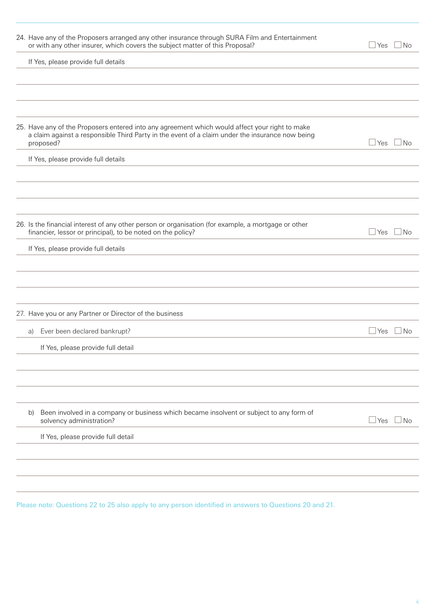| 24. Have any of the Proposers arranged any other insurance through SURA Film and Entertainment<br>or with any other insurer, which covers the subject matter of this Proposal?                                 | $\mathbin{\sqcup}$ Yes | $\Box$ No |
|----------------------------------------------------------------------------------------------------------------------------------------------------------------------------------------------------------------|------------------------|-----------|
| If Yes, please provide full details                                                                                                                                                                            |                        |           |
|                                                                                                                                                                                                                |                        |           |
|                                                                                                                                                                                                                |                        |           |
| 25. Have any of the Proposers entered into any agreement which would affect your right to make<br>a claim against a responsible Third Party in the event of a claim under the insurance now being<br>proposed? | $\Box$ Yes $\Box$ No   |           |
| If Yes, please provide full details                                                                                                                                                                            |                        |           |
|                                                                                                                                                                                                                |                        |           |
|                                                                                                                                                                                                                |                        |           |
| 26. Is the financial interest of any other person or organisation (for example, a mortgage or other<br>financier, lessor or principal), to be noted on the policy?                                             | $\sqcup$ Yes           | $\Box$ No |
| If Yes, please provide full details                                                                                                                                                                            |                        |           |
|                                                                                                                                                                                                                |                        |           |
|                                                                                                                                                                                                                |                        |           |
| 27. Have you or any Partner or Director of the business                                                                                                                                                        |                        |           |
| Ever been declared bankrupt?<br>a)                                                                                                                                                                             | ⊿Yes ∟No               |           |
| If Yes, please provide full detail                                                                                                                                                                             |                        |           |
|                                                                                                                                                                                                                |                        |           |
|                                                                                                                                                                                                                |                        |           |
| Been involved in a company or business which became insolvent or subject to any form of<br>b)<br>solvency administration?                                                                                      | $\Box$ Yes             | No        |
| If Yes, please provide full detail                                                                                                                                                                             |                        |           |
|                                                                                                                                                                                                                |                        |           |
|                                                                                                                                                                                                                |                        |           |

Please note: Questions 22 to 25 also apply to any person identified in answers to Questions 20 and 21.